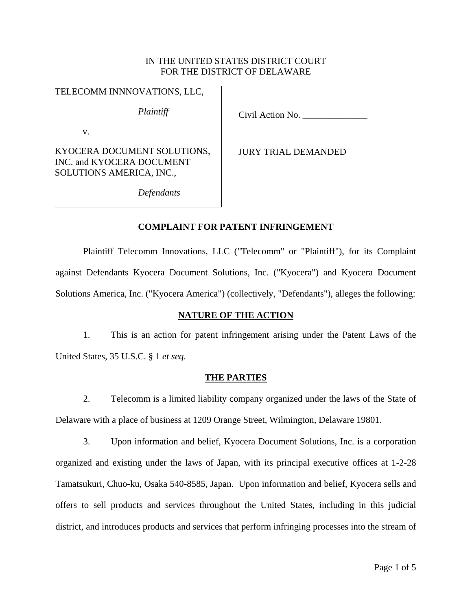## IN THE UNITED STATES DISTRICT COURT FOR THE DISTRICT OF DELAWARE

#### TELECOMM INNNOVATIONS, LLC,

*Plaintiff*

Civil Action No. \_\_\_\_\_\_\_\_\_\_\_\_\_\_

v.

KYOCERA DOCUMENT SOLUTIONS, INC. and KYOCERA DOCUMENT SOLUTIONS AMERICA, INC.,

JURY TRIAL DEMANDED

*Defendants*

# **COMPLAINT FOR PATENT INFRINGEMENT**

Plaintiff Telecomm Innovations, LLC ("Telecomm" or "Plaintiff"), for its Complaint against Defendants Kyocera Document Solutions, Inc. ("Kyocera") and Kyocera Document Solutions America, Inc. ("Kyocera America") (collectively, "Defendants"), alleges the following:

# **NATURE OF THE ACTION**

1. This is an action for patent infringement arising under the Patent Laws of the United States, 35 U.S.C. § 1 *et seq*.

# **THE PARTIES**

2. Telecomm is a limited liability company organized under the laws of the State of Delaware with a place of business at 1209 Orange Street, Wilmington, Delaware 19801.

3. Upon information and belief, Kyocera Document Solutions, Inc. is a corporation organized and existing under the laws of Japan, with its principal executive offices at 1-2-28 Tamatsukuri, Chuo-ku, Osaka 540-8585, Japan. Upon information and belief, Kyocera sells and offers to sell products and services throughout the United States, including in this judicial district, and introduces products and services that perform infringing processes into the stream of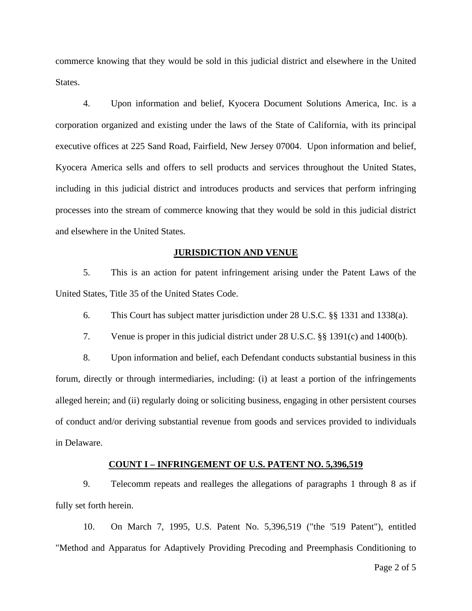commerce knowing that they would be sold in this judicial district and elsewhere in the United States.

4. Upon information and belief, Kyocera Document Solutions America, Inc. is a corporation organized and existing under the laws of the State of California, with its principal executive offices at 225 Sand Road, Fairfield, New Jersey 07004. Upon information and belief, Kyocera America sells and offers to sell products and services throughout the United States, including in this judicial district and introduces products and services that perform infringing processes into the stream of commerce knowing that they would be sold in this judicial district and elsewhere in the United States.

#### **JURISDICTION AND VENUE**

5. This is an action for patent infringement arising under the Patent Laws of the United States, Title 35 of the United States Code.

6. This Court has subject matter jurisdiction under 28 U.S.C. §§ 1331 and 1338(a).

7. Venue is proper in this judicial district under 28 U.S.C. §§ 1391(c) and 1400(b).

8. Upon information and belief, each Defendant conducts substantial business in this forum, directly or through intermediaries, including: (i) at least a portion of the infringements alleged herein; and (ii) regularly doing or soliciting business, engaging in other persistent courses of conduct and/or deriving substantial revenue from goods and services provided to individuals in Delaware.

### **COUNT I – INFRINGEMENT OF U.S. PATENT NO. 5,396,519**

9. Telecomm repeats and realleges the allegations of paragraphs 1 through 8 as if fully set forth herein.

10. On March 7, 1995, U.S. Patent No. 5,396,519 ("the '519 Patent"), entitled "Method and Apparatus for Adaptively Providing Precoding and Preemphasis Conditioning to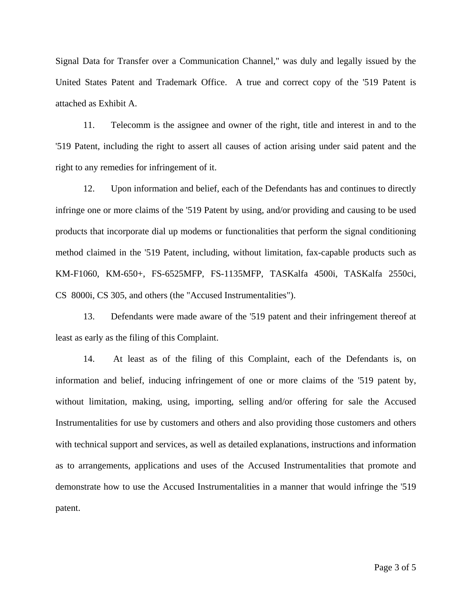Signal Data for Transfer over a Communication Channel," was duly and legally issued by the United States Patent and Trademark Office. A true and correct copy of the '519 Patent is attached as Exhibit A.

11. Telecomm is the assignee and owner of the right, title and interest in and to the '519 Patent, including the right to assert all causes of action arising under said patent and the right to any remedies for infringement of it.

12. Upon information and belief, each of the Defendants has and continues to directly infringe one or more claims of the '519 Patent by using, and/or providing and causing to be used products that incorporate dial up modems or functionalities that perform the signal conditioning method claimed in the '519 Patent, including, without limitation, fax-capable products such as KM-F1060, KM-650+, FS-6525MFP, FS-1135MFP, TASKalfa 4500i, TASKalfa 2550ci, CS 8000i, CS 305, and others (the "Accused Instrumentalities").

13. Defendants were made aware of the '519 patent and their infringement thereof at least as early as the filing of this Complaint.

14. At least as of the filing of this Complaint, each of the Defendants is, on information and belief, inducing infringement of one or more claims of the '519 patent by, without limitation, making, using, importing, selling and/or offering for sale the Accused Instrumentalities for use by customers and others and also providing those customers and others with technical support and services, as well as detailed explanations, instructions and information as to arrangements, applications and uses of the Accused Instrumentalities that promote and demonstrate how to use the Accused Instrumentalities in a manner that would infringe the '519 patent.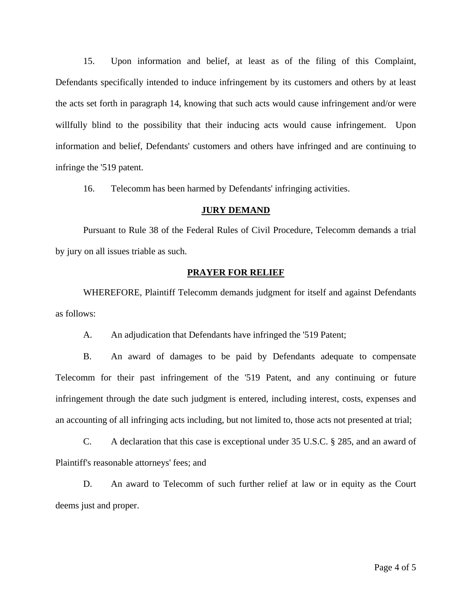15. Upon information and belief, at least as of the filing of this Complaint, Defendants specifically intended to induce infringement by its customers and others by at least the acts set forth in paragraph 14, knowing that such acts would cause infringement and/or were willfully blind to the possibility that their inducing acts would cause infringement. Upon information and belief, Defendants' customers and others have infringed and are continuing to infringe the '519 patent.

16. Telecomm has been harmed by Defendants' infringing activities.

#### **JURY DEMAND**

Pursuant to Rule 38 of the Federal Rules of Civil Procedure, Telecomm demands a trial by jury on all issues triable as such.

### **PRAYER FOR RELIEF**

WHEREFORE, Plaintiff Telecomm demands judgment for itself and against Defendants as follows:

A. An adjudication that Defendants have infringed the '519 Patent;

B. An award of damages to be paid by Defendants adequate to compensate Telecomm for their past infringement of the '519 Patent, and any continuing or future infringement through the date such judgment is entered, including interest, costs, expenses and an accounting of all infringing acts including, but not limited to, those acts not presented at trial;

C. A declaration that this case is exceptional under 35 U.S.C. § 285, and an award of Plaintiff's reasonable attorneys' fees; and

D. An award to Telecomm of such further relief at law or in equity as the Court deems just and proper.